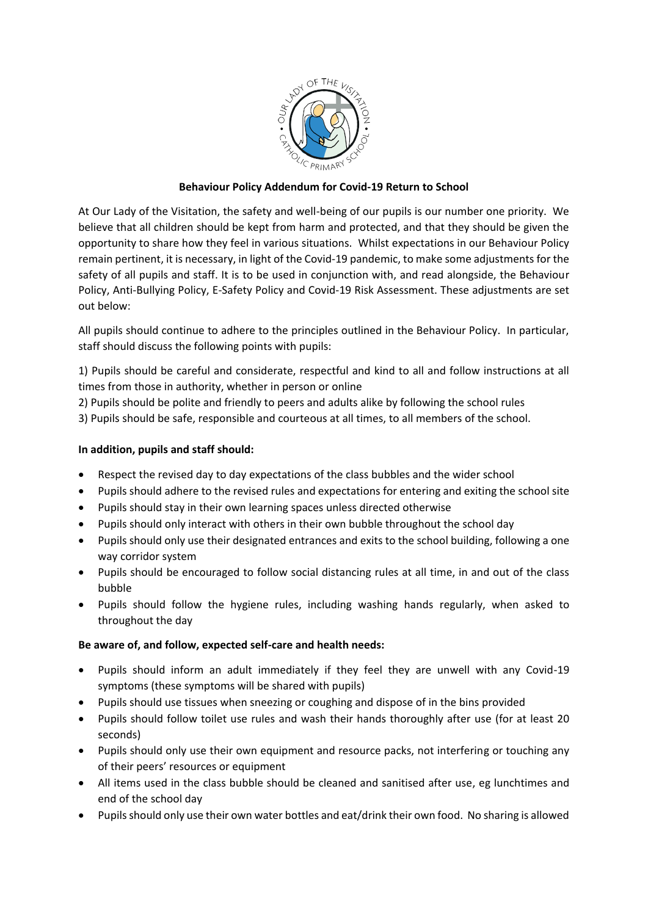

# **Behaviour Policy Addendum for Covid-19 Return to School**

At Our Lady of the Visitation, the safety and well-being of our pupils is our number one priority. We believe that all children should be kept from harm and protected, and that they should be given the opportunity to share how they feel in various situations. Whilst expectations in our Behaviour Policy remain pertinent, it is necessary, in light of the Covid-19 pandemic, to make some adjustments for the safety of all pupils and staff. It is to be used in conjunction with, and read alongside, the Behaviour Policy, Anti-Bullying Policy, E-Safety Policy and Covid-19 Risk Assessment. These adjustments are set out below:

All pupils should continue to adhere to the principles outlined in the Behaviour Policy. In particular, staff should discuss the following points with pupils:

1) Pupils should be careful and considerate, respectful and kind to all and follow instructions at all times from those in authority, whether in person or online

2) Pupils should be polite and friendly to peers and adults alike by following the school rules

3) Pupils should be safe, responsible and courteous at all times, to all members of the school.

# **In addition, pupils and staff should:**

- Respect the revised day to day expectations of the class bubbles and the wider school
- Pupils should adhere to the revised rules and expectations for entering and exiting the school site
- Pupils should stay in their own learning spaces unless directed otherwise
- Pupils should only interact with others in their own bubble throughout the school day
- Pupils should only use their designated entrances and exits to the school building, following a one way corridor system
- Pupils should be encouraged to follow social distancing rules at all time, in and out of the class bubble
- Pupils should follow the hygiene rules, including washing hands regularly, when asked to throughout the day

# **Be aware of, and follow, expected self-care and health needs:**

- Pupils should inform an adult immediately if they feel they are unwell with any Covid-19 symptoms (these symptoms will be shared with pupils)
- Pupils should use tissues when sneezing or coughing and dispose of in the bins provided
- Pupils should follow toilet use rules and wash their hands thoroughly after use (for at least 20 seconds)
- Pupils should only use their own equipment and resource packs, not interfering or touching any of their peers' resources or equipment
- All items used in the class bubble should be cleaned and sanitised after use, eg lunchtimes and end of the school day
- Pupils should only use their own water bottles and eat/drink their own food. No sharing is allowed